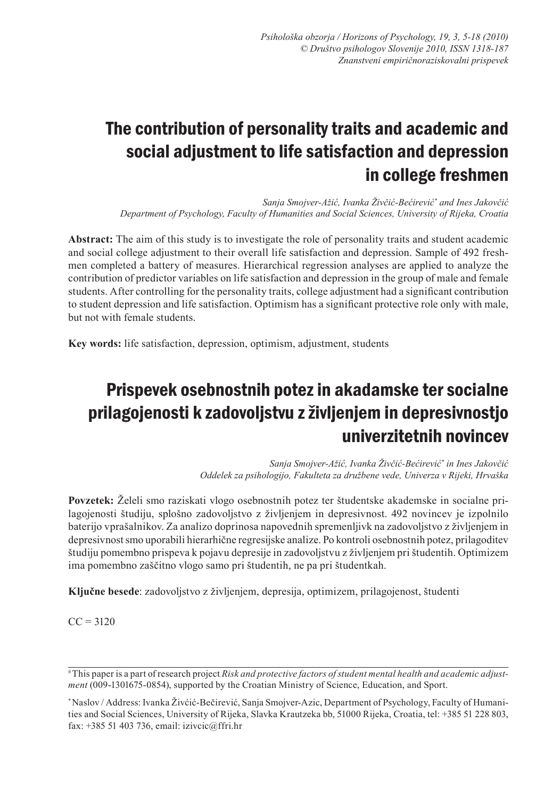# The contribution of personality traits and academic and social adjustment to life satisfaction and depression in college freshmen

*Sanja Smojver-Ažić, Ivanka Živčić-Bećirević\* and Ines Jakovčić Department of Psychology, Faculty of Humanities and Social Sciences, University of Rijeka, Croatia*

**Abstract:** The aim of this study is to investigate the role of personality traits and student academic and social college adjustment to their overall life satisfaction and depression. Sample of 492 freshmen completed a battery of measures. Hierarchical regression analyses are applied to analyze the contribution of predictor variables on life satisfaction and depression in the group of male and female students. After controlling for the personality traits, college adjustment had a significant contribution to student depression and life satisfaction. Optimism has a significant protective role only with male, but not with female students.

**Key words:** life satisfaction, depression, optimism, adjustment, students

## Prispevek osebnostnih potez in akadamske ter socialne prilagojenosti k zadovoljstvu z življenjem in depresivnostjo univerzitetnih novincev

*Sanja Smojver-Ažić, Ivanka Živčić-Bećirević\* in Ines Jakovčić Oddelek za psihologijo, Fakulteta za družbene vede, Univerza v Rijeki, Hrvaška*

**Povzetek:** Želeli smo raziskati vlogo osebnostnih potez ter študentske akademske in socialne prilagojenosti študiju, splošno zadovoljstvo z življenjem in depresivnost. 492 novincev je izpolnilo baterijo vprašalnikov. Za analizo doprinosa napovednih spremenljivk na zadovoljstvo z življenjem in depresivnost smo uporabili hierarhične regresijske analize. Po kontroli osebnostnih potez, prilagoditev študiju pomembno prispeva k pojavu depresije in zadovoljstvu z življenjem pri študentih. Optimizem ima pomembno zaščitno vlogo samo pri študentih, ne pa pri študentkah.

**Ključne besede**: zadovoljstvo z življenjem, depresija, optimizem, prilagojenost, študenti

 $CC = 3120$ 

<sup>#</sup> This paper is a part of research project *Risk and protective factors of student mental health and academic adjustment* (009-1301675-0854), supported by the Croatian Ministry of Science, Education, and Sport.

<sup>\*</sup> Naslov / Address: Ivanka Živćić-Bečirević, Sanja Smojver-Azic, Department of Psychology, Faculty of Humanities and Social Sciences, University of Rijeka, Slavka Krautzeka bb, 51000 Rijeka, Croatia, tel: +385 51 228 803, fax: +385 51 403 736, email: izivcic@ffri.hr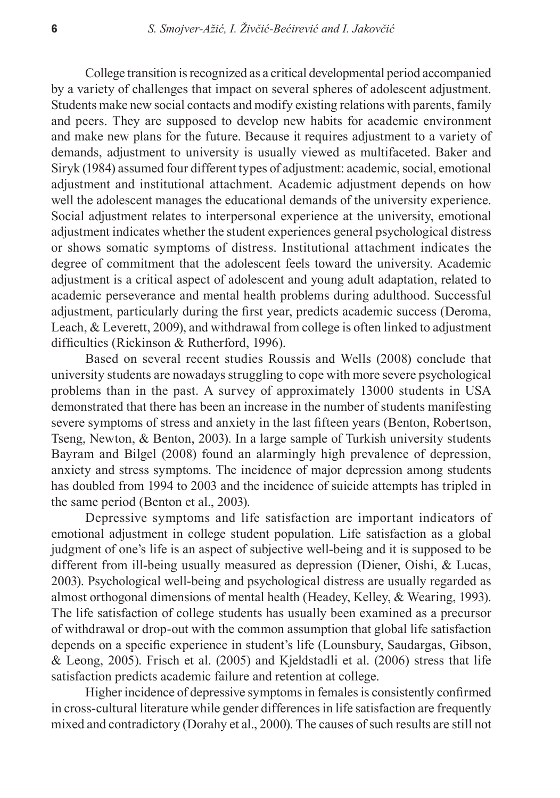College transition is recognized as a critical developmental period accompanied by a variety of challenges that impact on several spheres of adolescent adjustment. Students make new social contacts and modify existing relations with parents, family and peers. They are supposed to develop new habits for academic environment and make new plans for the future. Because it requires adjustment to a variety of demands, adjustment to university is usually viewed as multifaceted. Baker and Siryk (1984) assumed four different types of adjustment: academic, social, emotional adjustment and institutional attachment. Academic adjustment depends on how well the adolescent manages the educational demands of the university experience. Social adjustment relates to interpersonal experience at the university, emotional adjustment indicates whether the student experiences general psychological distress or shows somatic symptoms of distress. Institutional attachment indicates the degree of commitment that the adolescent feels toward the university. Academic adjustment is a critical aspect of adolescent and young adult adaptation, related to academic perseverance and mental health problems during adulthood. Successful adjustment, particularly during the first year, predicts academic success (Deroma, Leach, & Leverett, 2009), and withdrawal from college is often linked to adjustment difficulties (Rickinson & Rutherford, 1996).

Based on several recent studies Roussis and Wells (2008) conclude that university students are nowadays struggling to cope with more severe psychological problems than in the past. A survey of approximately 13000 students in USA demonstrated that there has been an increase in the number of students manifesting severe symptoms of stress and anxiety in the last fifteen years (Benton, Robertson, Tseng, Newton, & Benton, 2003). In a large sample of Turkish university students Bayram and Bilgel (2008) found an alarmingly high prevalence of depression, anxiety and stress symptoms. The incidence of major depression among students has doubled from 1994 to 2003 and the incidence of suicide attempts has tripled in the same period (Benton et al., 2003).

Depressive symptoms and life satisfaction are important indicators of emotional adjustment in college student population. Life satisfaction as a global judgment of one's life is an aspect of subjective well-being and it is supposed to be different from ill-being usually measured as depression (Diener, Oishi, & Lucas, 2003). Psychological well-being and psychological distress are usually regarded as almost orthogonal dimensions of mental health (Headey, Kelley, & Wearing, 1993). The life satisfaction of college students has usually been examined as a precursor of withdrawal or drop-out with the common assumption that global life satisfaction depends on a specific experience in student's life (Lounsbury, Saudargas, Gibson, & Leong, 2005). Frisch et al. (2005) and Kjeldstadli et al. (2006) stress that life satisfaction predicts academic failure and retention at college.

Higher incidence of depressive symptoms in females is consistently confirmed in cross-cultural literature while gender differences in life satisfaction are frequently mixed and contradictory (Dorahy et al., 2000). The causes of such results are still not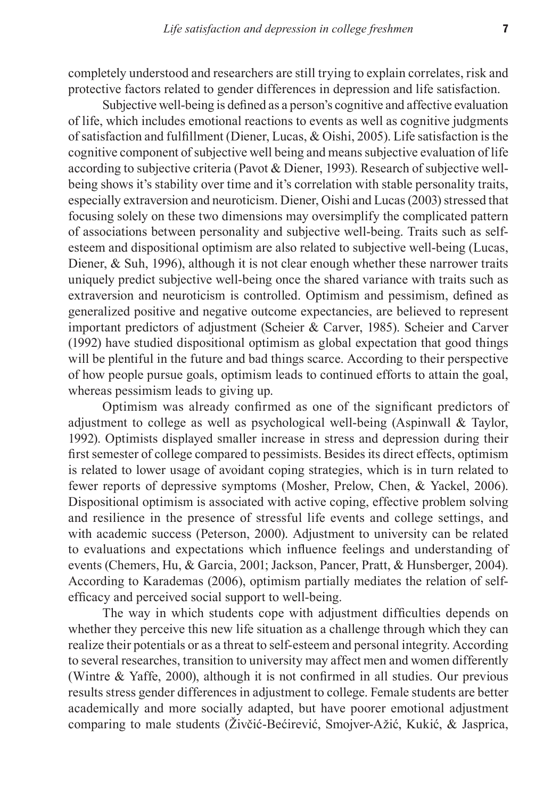completely understood and researchers are still trying to explain correlates, risk and protective factors related to gender differences in depression and life satisfaction.

Subjective well-being is defined as a person's cognitive and affective evaluation of life, which includes emotional reactions to events as well as cognitive judgments of satisfaction and fulfillment (Diener, Lucas, & Oishi, 2005). Life satisfaction is the cognitive component of subjective well being and means subjective evaluation of life according to subjective criteria (Pavot & Diener, 1993). Research of subjective wellbeing shows it's stability over time and it's correlation with stable personality traits, especially extraversion and neuroticism. Diener, Oishi and Lucas (2003) stressed that focusing solely on these two dimensions may oversimplify the complicated pattern of associations between personality and subjective well-being. Traits such as selfesteem and dispositional optimism are also related to subjective well-being (Lucas, Diener, & Suh, 1996), although it is not clear enough whether these narrower traits uniquely predict subjective well-being once the shared variance with traits such as extraversion and neuroticism is controlled. Optimism and pessimism, defined as generalized positive and negative outcome expectancies, are believed to represent important predictors of adjustment (Scheier & Carver, 1985). Scheier and Carver (1992) have studied dispositional optimism as global expectation that good things will be plentiful in the future and bad things scarce. According to their perspective of how people pursue goals, optimism leads to continued efforts to attain the goal, whereas pessimism leads to giving up.

Optimism was already confirmed as one of the significant predictors of adjustment to college as well as psychological well-being (Aspinwall & Taylor, 1992). Optimists displayed smaller increase in stress and depression during their first semester of college compared to pessimists. Besides its direct effects, optimism is related to lower usage of avoidant coping strategies, which is in turn related to fewer reports of depressive symptoms (Mosher, Prelow, Chen, & Yackel, 2006). Dispositional optimism is associated with active coping, effective problem solving and resilience in the presence of stressful life events and college settings, and with academic success (Peterson, 2000). Adjustment to university can be related to evaluations and expectations which influence feelings and understanding of events (Chemers, Hu, & Garcia, 2001; Jackson, Pancer, Pratt, & Hunsberger, 2004). According to Karademas (2006), optimism partially mediates the relation of selfefficacy and perceived social support to well-being.

The way in which students cope with adjustment difficulties depends on whether they perceive this new life situation as a challenge through which they can realize their potentials or as a threat to self-esteem and personal integrity. According to several researches, transition to university may affect men and women differently (Wintre & Yaffe, 2000), although it is not confirmed in all studies. Our previous results stress gender differences in adjustment to college. Female students are better academically and more socially adapted, but have poorer emotional adjustment comparing to male students (Živčić-Bećirević, Smojver-Ažić, Kukić, & Jasprica,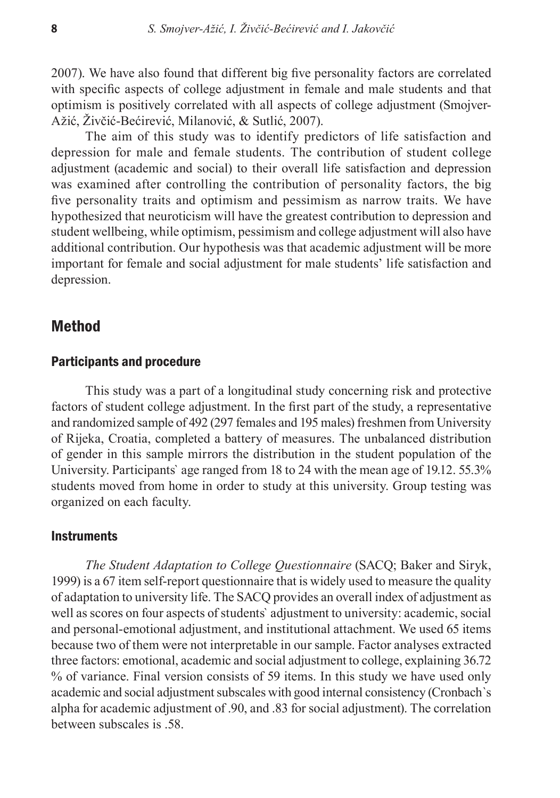2007). We have also found that different big five personality factors are correlated with specific aspects of college adjustment in female and male students and that optimism is positively correlated with all aspects of college adjustment (Smojver-Ažić, Živčić-Bećirević, Milanović, & Sutlić, 2007).

The aim of this study was to identify predictors of life satisfaction and depression for male and female students. The contribution of student college adjustment (academic and social) to their overall life satisfaction and depression was examined after controlling the contribution of personality factors, the big five personality traits and optimism and pessimism as narrow traits. We have hypothesized that neuroticism will have the greatest contribution to depression and student wellbeing, while optimism, pessimism and college adjustment will also have additional contribution. Our hypothesis was that academic adjustment will be more important for female and social adjustment for male students' life satisfaction and depression.

### Method

#### Participants and procedure

This study was a part of a longitudinal study concerning risk and protective factors of student college adjustment. In the first part of the study, a representative and randomized sample of 492 (297 females and 195 males) freshmen from University of Rijeka, Croatia, completed a battery of measures. The unbalanced distribution of gender in this sample mirrors the distribution in the student population of the University. Participants` age ranged from 18 to 24 with the mean age of 19.12. 55.3% students moved from home in order to study at this university. Group testing was organized on each faculty.

#### **Instruments**

*The Student Adaptation to College Questionnaire* (SACQ; Baker and Siryk, 1999) is a 67 item self-report questionnaire that is widely used to measure the quality of adaptation to university life. The SACQ provides an overall index of adjustment as well as scores on four aspects of students` adjustment to university: academic, social and personal-emotional adjustment, and institutional attachment. We used 65 items because two of them were not interpretable in our sample. Factor analyses extracted three factors: emotional, academic and social adjustment to college, explaining 36.72 % of variance. Final version consists of 59 items. In this study we have used only academic and social adjustment subscales with good internal consistency (Cronbach`s alpha for academic adjustment of .90, and .83 for social adjustment). The correlation between subscales is 58.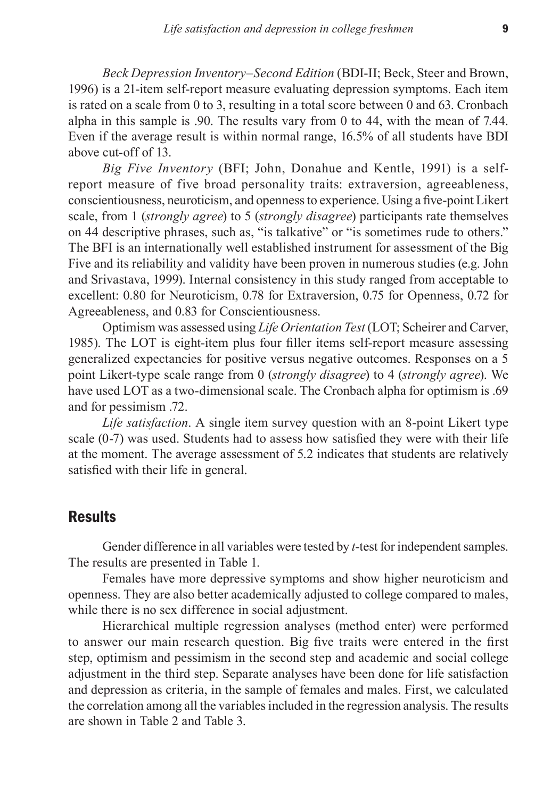*Beck Depression Inventory–Second Edition* (BDI-II; Beck, Steer and Brown, 1996) is a 21-item self-report measure evaluating depression symptoms. Each item is rated on a scale from 0 to 3, resulting in a total score between 0 and 63. Cronbach alpha in this sample is .90. The results vary from 0 to 44, with the mean of 7.44. Even if the average result is within normal range, 16.5% of all students have BDI above cut-off of 13.

*Big Five Inventory* (BFI; John, Donahue and Kentle, 1991) is a selfreport measure of five broad personality traits: extraversion, agreeableness, conscientiousness, neuroticism, and openness to experience. Using a five-point Likert scale, from 1 (*strongly agree*) to 5 (*strongly disagree*) participants rate themselves on 44 descriptive phrases, such as, "is talkative" or "is sometimes rude to others." The BFI is an internationally well established instrument for assessment of the Big Five and its reliability and validity have been proven in numerous studies (e.g. John and Srivastava, 1999). Internal consistency in this study ranged from acceptable to excellent: 0.80 for Neuroticism, 0.78 for Extraversion, 0.75 for Openness, 0.72 for Agreeableness, and 0.83 for Conscientiousness.

Optimism was assessed using *Life Orientation Test* (LOT; Scheirer and Carver, 1985). The LOT is eight-item plus four filler items self-report measure assessing generalized expectancies for positive versus negative outcomes. Responses on a 5 point Likert-type scale range from 0 (*strongly disagree*) to 4 (*strongly agree*). We have used LOT as a two-dimensional scale. The Cronbach alpha for optimism is .69 and for pessimism .72.

*Life satisfaction*. A single item survey question with an 8-point Likert type scale (0-7) was used. Students had to assess how satisfied they were with their life at the moment. The average assessment of 5.2 indicates that students are relatively satisfied with their life in general.

## **Results**

Gender difference in all variables were tested by *t*-test for independent samples. The results are presented in Table 1.

Females have more depressive symptoms and show higher neuroticism and openness. They are also better academically adjusted to college compared to males, while there is no sex difference in social adjustment.

Hierarchical multiple regression analyses (method enter) were performed to answer our main research question. Big five traits were entered in the first step, optimism and pessimism in the second step and academic and social college adjustment in the third step. Separate analyses have been done for life satisfaction and depression as criteria, in the sample of females and males. First, we calculated the correlation among all the variables included in the regression analysis. The results are shown in Table 2 and Table 3.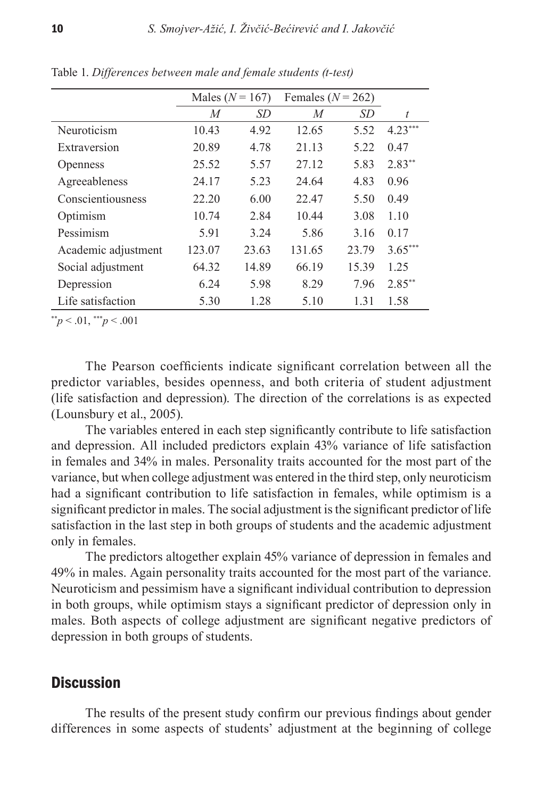|                     | Males ( $N = 167$ ) |           | Females ( $N = 262$ ) |           |                  |
|---------------------|---------------------|-----------|-----------------------|-----------|------------------|
|                     | M                   | <i>SD</i> | M                     | <i>SD</i> | $\boldsymbol{t}$ |
| Neuroticism         | 10.43               | 4.92      | 12.65                 | 5.52      | $4.23***$        |
| Extraversion        | 20.89               | 4.78      | 21.13                 | 5.22      | 0.47             |
| <b>Openness</b>     | 25.52               | 5.57      | 27.12                 | 5.83      | $2.83**$         |
| Agreeableness       | 24.17               | 5.23      | 24.64                 | 4.83      | 0.96             |
| Conscientiousness   | 22.20               | 6.00      | 22.47                 | 5.50      | 0.49             |
| Optimism            | 10.74               | 2.84      | 10.44                 | 3.08      | 1.10             |
| Pessimism           | 5.91                | 3.24      | 5.86                  | 3.16      | 0.17             |
| Academic adjustment | 123.07              | 23.63     | 131.65                | 23.79     | $3.65***$        |
| Social adjustment   | 64.32               | 14.89     | 66.19                 | 15.39     | 1.25             |
| Depression          | 6.24                | 5.98      | 8.29                  | 7.96      | $2.85***$        |
| Life satisfaction   | 5.30                | 1.28      | 5.10                  | 1.31      | 1.58             |

Table 1. *Differences between male and female students (t-test)* 

 $^{**}p < .01, ^{***}p < .001$ 

The Pearson coefficients indicate significant correlation between all the predictor variables, besides openness, and both criteria of student adjustment (life satisfaction and depression). The direction of the correlations is as expected (Lounsbury et al., 2005).

The variables entered in each step significantly contribute to life satisfaction and depression. All included predictors explain 43% variance of life satisfaction in females and 34% in males. Personality traits accounted for the most part of the variance, but when college adjustment was entered in the third step, only neuroticism had a significant contribution to life satisfaction in females, while optimism is a significant predictor in males. The social adjustment is the significant predictor of life satisfaction in the last step in both groups of students and the academic adjustment only in females.

The predictors altogether explain 45% variance of depression in females and 49% in males. Again personality traits accounted for the most part of the variance. Neuroticism and pessimism have a significant individual contribution to depression in both groups, while optimism stays a significant predictor of depression only in males. Both aspects of college adjustment are significant negative predictors of depression in both groups of students.

### **Discussion**

The results of the present study confirm our previous findings about gender differences in some aspects of students' adjustment at the beginning of college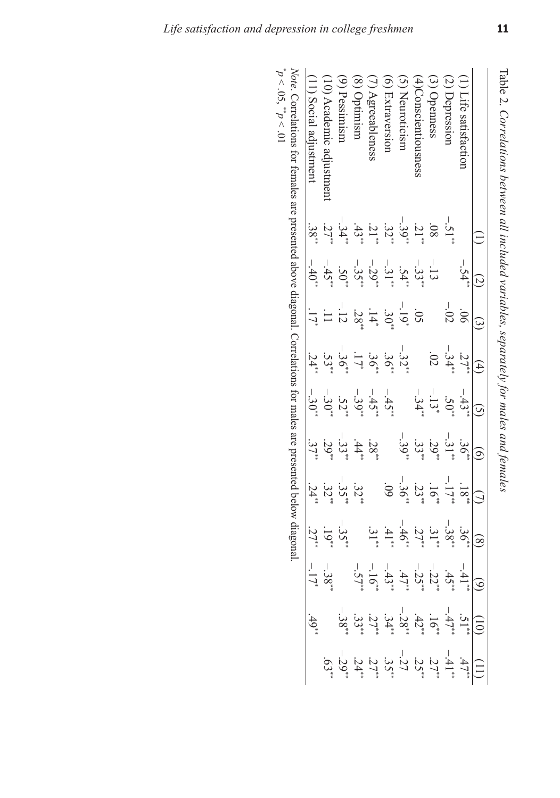|            |                     | ن                    | $\widehat{+}$      |                                                       | a                                 |            |             | ূ        |                | Ë                                                         |
|------------|---------------------|----------------------|--------------------|-------------------------------------------------------|-----------------------------------|------------|-------------|----------|----------------|-----------------------------------------------------------|
|            | $-54**$             |                      | $27^{**}$          | $-43**$                                               | $36**$                            | $.18**$    | $.36**$     | $-41**$  | $.51**$        | $.47**$                                                   |
| $-51^{**}$ |                     | $-02$                | $-34**$            | $.50**$                                               | $-31**$                           | $-17$      | $-38**$     | $.45*$   | $-47**$        | $-41**$                                                   |
|            | $-13$               |                      | $\rm \ddot{\rm 0}$ | $-13*$                                                | $.29*$                            |            | ن<br>۽<br>" | $-22**$  | $-16**$        | 27                                                        |
| $31**$     | $-33$ <sup>**</sup> | Š                    |                    | $-34**$                                               | $.33*$                            | $.23*$     | :ح<br>ح     | $-25$ *  | $42**$         | 25                                                        |
| $-39**$    | $.54**$             | $-19*$               | $-32**$            |                                                       | $-39"$                            | $-36**$    | $-46"$      | .47"     | I<br>$-28**$   | $-27$                                                     |
| $.32^{*}$  | $-31**$             | $.30^{**}$           | 36"                | $-45$                                                 |                                   | $60^\circ$ | $.41**$     | $-43"$   | $.34**$        | ن<br>پيد                                                  |
| $-21$      | $-29**$             | $\frac{1}{4}$        | ، ع و              | $-45"$                                                | $.28^{**}$                        |            | ن<br>پان    | $-16"$   | 27             | $27^*$                                                    |
| $.43**$    | $-35**$             | .28*                 | $\overline{17}$    |                                                       | $.44**$                           | $.32**$    |             | $-57**$  | ن<br>پون<br>** | $24^*$                                                    |
| $-34$      | $SO^*$              |                      | .96                | $.52*$                                                | $-33$ <sup>**</sup>               | $-35**$    | $-35"$      |          | $-38**$        | $-29"$                                                    |
| $.27*$     | $-45"$              |                      | $.53*$             | $-30^{*}$                                             | $.29*$                            | $.32**$    | $-19"$      | $-38**$  |                | $.63**$                                                   |
| $.38^{**}$ | $-40^{**}$          |                      | $24*$              | $-30^{*}$                                             | $.37*$                            | $.24*$     | $27*$       | $-17$    | $.49**$        |                                                           |
|            |                     |                      |                    |                                                       |                                   |            |             |          |                |                                                           |
|            |                     | $\widetilde{\omega}$ |                    | Correlations for females are presented above diagonal | $-39**$<br>$\widehat{\mathbf{G}}$ |            |             | $\infty$ |                | Correlations for males are presented below diagonal.<br>Ē |

Table 2. Correlations between all included variables, separately for males and females  *Correlations between all included variables, separately for males and females*

Note. Correlations for females are presented above diagonal. Correlations for males are presented below diagonal.  $\frac{1}{2}$  $p < .05$ ,  $\frac{np}{p}$  $\leq 01$ ř ó ł, ó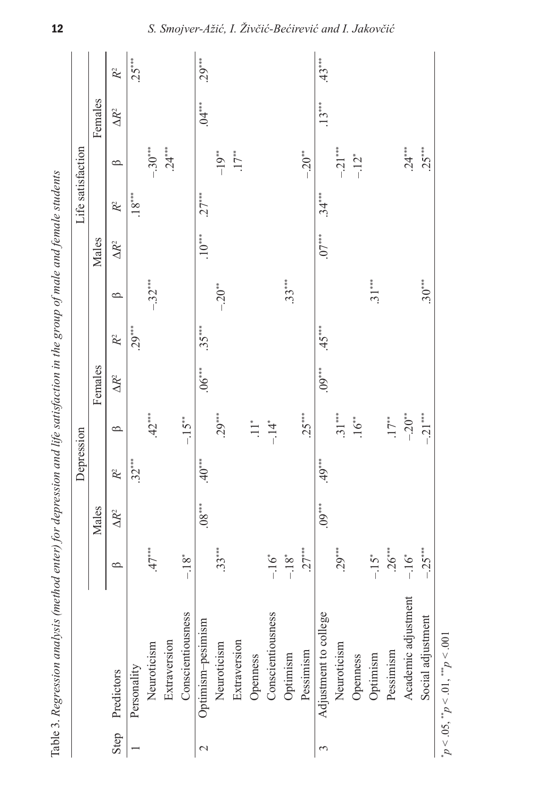|                 | Table 3. Regression analysis (method enter) for depression and life satisfaction in the group of male and female students |                    |                      |                |                    |              |          |          |              |                   |                    |              |                |
|-----------------|---------------------------------------------------------------------------------------------------------------------------|--------------------|----------------------|----------------|--------------------|--------------|----------|----------|--------------|-------------------|--------------------|--------------|----------------|
|                 |                                                                                                                           |                    |                      | Depression     |                    |              |          |          |              | Life satisfaction |                    |              |                |
|                 |                                                                                                                           |                    | Males                |                |                    | Females      |          |          | Males        |                   |                    | Females      |                |
|                 | Step Predictors                                                                                                           | $\circ$            | $\Delta R^2$         | R <sup>2</sup> | $\circ$            | $\Delta R^2$ | $R^2$    | $\circ$  | $\Delta R^2$ | R <sup>2</sup>    | $\circ$            | $\Delta R^2$ | R <sup>2</sup> |
|                 | Personality                                                                                                               |                    |                      | $.32***$       |                    |              | $.29***$ |          |              | $.18***$          |                    |              | $25***$        |
|                 | Neuroticism                                                                                                               | $.47***$           |                      |                | $.42***$           |              |          | $-32***$ |              |                   | $-.30***$          |              |                |
|                 | Extraversion                                                                                                              |                    |                      |                |                    |              |          |          |              |                   | $.24***$           |              |                |
|                 | Conscientiousness                                                                                                         | $-18^{*}$          |                      |                | $-15**$            |              |          |          |              |                   |                    |              |                |
| $\mathop{\sim}$ | Optimism-pesimism                                                                                                         |                    | $.88^{\ast\ast\ast}$ | $40***$        |                    | $.06***$     | $.35***$ |          | $10***$      | $.27***$          |                    | $.04***$     | $.29***$       |
|                 | Neuroticism                                                                                                               | $.33***$           |                      |                | $.29***$           |              |          | $-20**$  |              |                   | $-19**$            |              |                |
|                 | Extraversion                                                                                                              |                    |                      |                |                    |              |          |          |              |                   | $17**$             |              |                |
|                 | Openness                                                                                                                  |                    |                      |                | $\prod_{i=1}^{n}$  |              |          |          |              |                   |                    |              |                |
|                 | Conscientiousness                                                                                                         | $-16$ <sup>*</sup> |                      |                | $-14$ <sup>*</sup> |              |          |          |              |                   |                    |              |                |
|                 | Optimism                                                                                                                  | $-18^{*}$          |                      |                |                    |              |          | $.33***$ |              |                   |                    |              |                |
|                 | Pessimism                                                                                                                 | $.27***$           |                      |                | $.25***$           |              |          |          |              |                   | $-0.20**$          |              |                |
| 3               | Adjustment to college                                                                                                     |                    | $.09***$             | $49***$        |                    | $.09***$     | $.45***$ |          | $.07***$     | $.34***$          |                    | $.13***$     | $.43***$       |
|                 | Neuroticism                                                                                                               | $.29***$           |                      |                | $.31***$           |              |          |          |              |                   | $-21***$           |              |                |
|                 | Openness                                                                                                                  |                    |                      |                | $16**$             |              |          |          |              |                   | $-12$ <sup>*</sup> |              |                |
|                 | Optimism                                                                                                                  | $-15$ <sup>*</sup> |                      |                |                    |              |          | $31***$  |              |                   |                    |              |                |
|                 | Pessimism                                                                                                                 | $.26***$           |                      |                | $17**$             |              |          |          |              |                   |                    |              |                |
|                 | Academic adjustment                                                                                                       | $-16$ <sup>*</sup> |                      |                | $-20**$            |              |          |          |              |                   | $.24***$           |              |                |
|                 | Social adjustment                                                                                                         | $-25***$           |                      |                | $-21***$           |              |          | $.30***$ |              |                   | $.25***$           |              |                |
|                 |                                                                                                                           |                    |                      |                |                    |              |          |          |              |                   |                    |              |                |

12

\*  $p < 0.05$ ,  ${}^{**}p < 0.01$ ,  ${}^{***}p < 0.01$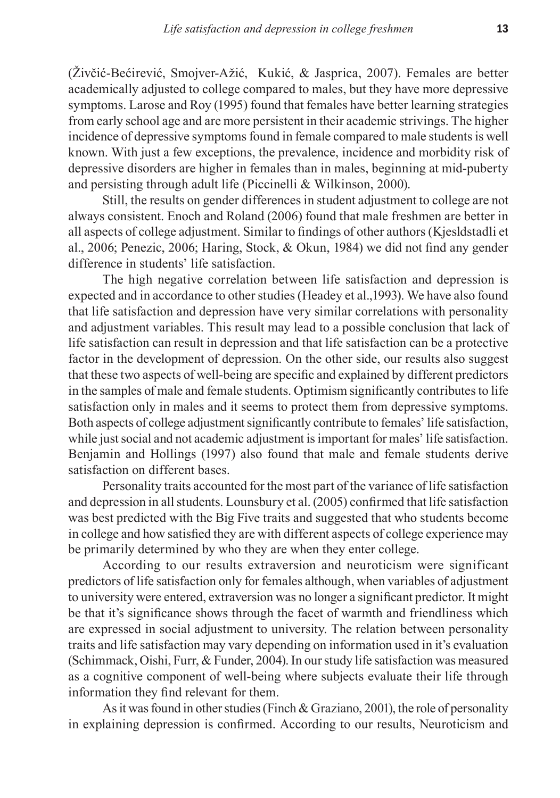(Živčić-Bećirević, Smojver-Ažić, Kukić, & Jasprica, 2007). Females are better academically adjusted to college compared to males, but they have more depressive symptoms. Larose and Roy (1995) found that females have better learning strategies from early school age and are more persistent in their academic strivings. The higher incidence of depressive symptoms found in female compared to male students is well known. With just a few exceptions, the prevalence, incidence and morbidity risk of depressive disorders are higher in females than in males, beginning at mid-puberty and persisting through adult life (Piccinelli & Wilkinson, 2000).

Still, the results on gender differences in student adjustment to college are not always consistent. Enoch and Roland (2006) found that male freshmen are better in all aspects of college adjustment. Similar to findings of other authors (Kjesldstadli et al., 2006; Penezic, 2006; Haring, Stock, & Okun, 1984) we did not find any gender difference in students' life satisfaction.

The high negative correlation between life satisfaction and depression is expected and in accordance to other studies (Headey et al.,1993). We have also found that life satisfaction and depression have very similar correlations with personality and adjustment variables. This result may lead to a possible conclusion that lack of life satisfaction can result in depression and that life satisfaction can be a protective factor in the development of depression. On the other side, our results also suggest that these two aspects of well-being are specific and explained by different predictors in the samples of male and female students. Optimism significantly contributes to life satisfaction only in males and it seems to protect them from depressive symptoms. Both aspects of college adjustment significantly contribute to females' life satisfaction, while just social and not academic adjustment is important for males' life satisfaction. Benjamin and Hollings (1997) also found that male and female students derive satisfaction on different bases.

Personality traits accounted for the most part of the variance of life satisfaction and depression in all students. Lounsbury et al. (2005) confirmed that life satisfaction was best predicted with the Big Five traits and suggested that who students become in college and how satisfied they are with different aspects of college experience may be primarily determined by who they are when they enter college.

According to our results extraversion and neuroticism were significant predictors of life satisfaction only for females although, when variables of adjustment to university were entered, extraversion was no longer a significant predictor. It might be that it's significance shows through the facet of warmth and friendliness which are expressed in social adjustment to university. The relation between personality traits and life satisfaction may vary depending on information used in it's evaluation (Schimmack, Oishi, Furr, & Funder, 2004). In our study life satisfaction was measured as a cognitive component of well-being where subjects evaluate their life through information they find relevant for them.

As it was found in other studies (Finch & Graziano, 2001), the role of personality in explaining depression is confirmed. According to our results, Neuroticism and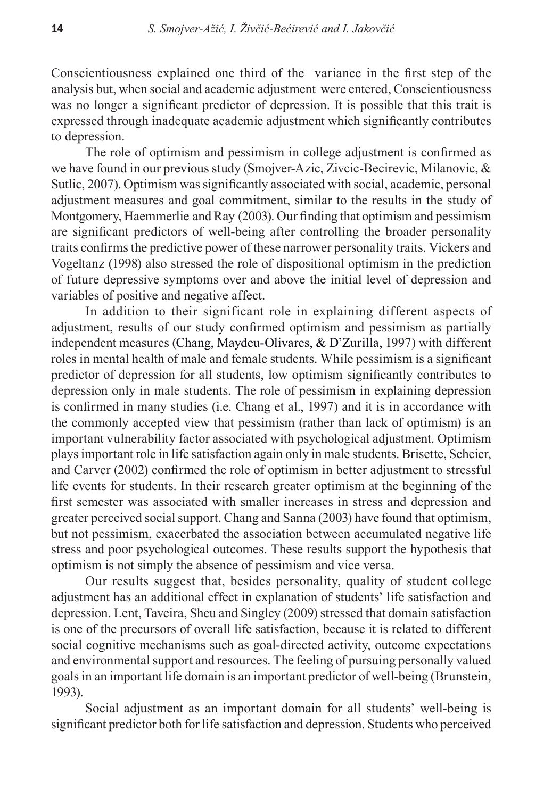Conscientiousness explained one third of the variance in the first step of the analysis but, when social and academic adjustment were entered, Conscientiousness was no longer a significant predictor of depression. It is possible that this trait is expressed through inadequate academic adjustment which significantly contributes to depression.

The role of optimism and pessimism in college adjustment is confirmed as we have found in our previous study (Smojver-Azic, Zivcic-Becirevic, Milanovic, & Sutlic, 2007). Optimism was significantly associated with social, academic, personal adjustment measures and goal commitment, similar to the results in the study of Montgomery, Haemmerlie and Ray (2003). Our finding that optimism and pessimism are significant predictors of well-being after controlling the broader personality traits confirms the predictive power of these narrower personality traits. Vickers and Vogeltanz (1998) also stressed the role of dispositional optimism in the prediction of future depressive symptoms over and above the initial level of depression and variables of positive and negative affect.

In addition to their significant role in explaining different aspects of adjustment, results of our study confirmed optimism and pessimism as partially independent measures (Chang, Maydeu-Olivares, & D'Zurilla, 1997) with different roles in mental health of male and female students. While pessimism is a significant predictor of depression for all students, low optimism significantly contributes to depression only in male students. The role of pessimism in explaining depression is confirmed in many studies (i.e. Chang et al., 1997) and it is in accordance with the commonly accepted view that pessimism (rather than lack of optimism) is an important vulnerability factor associated with psychological adjustment. Optimism plays important role in life satisfaction again only in male students. Brisette, Scheier, and Carver (2002) confirmed the role of optimism in better adjustment to stressful life events for students. In their research greater optimism at the beginning of the first semester was associated with smaller increases in stress and depression and greater perceived social support. Chang and Sanna (2003) have found that optimism, but not pessimism, exacerbated the association between accumulated negative life stress and poor psychological outcomes. These results support the hypothesis that optimism is not simply the absence of pessimism and vice versa.

Our results suggest that, besides personality, quality of student college adjustment has an additional effect in explanation of students' life satisfaction and depression. Lent, Taveira, Sheu and Singley (2009) stressed that domain satisfaction is one of the precursors of overall life satisfaction, because it is related to different social cognitive mechanisms such as goal-directed activity, outcome expectations and environmental support and resources. The feeling of pursuing personally valued goals in an important life domain is an important predictor of well-being (Brunstein, 1993).

Social adjustment as an important domain for all students' well-being is significant predictor both for life satisfaction and depression. Students who perceived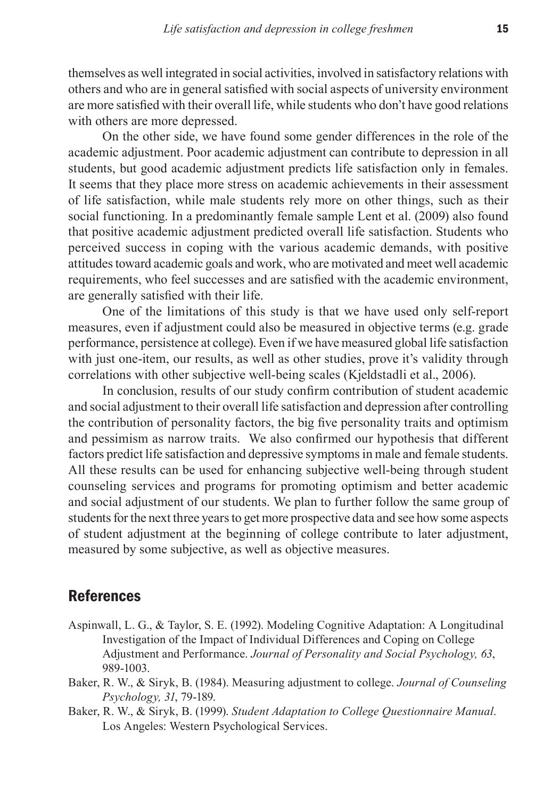themselves as well integrated in social activities, involved in satisfactory relations with others and who are in general satisfied with social aspects of university environment are more satisfied with their overall life, while students who don't have good relations with others are more depressed.

On the other side, we have found some gender differences in the role of the academic adjustment. Poor academic adjustment can contribute to depression in all students, but good academic adjustment predicts life satisfaction only in females. It seems that they place more stress on academic achievements in their assessment of life satisfaction, while male students rely more on other things, such as their social functioning. In a predominantly female sample Lent et al. (2009) also found that positive academic adjustment predicted overall life satisfaction. Students who perceived success in coping with the various academic demands, with positive attitudes toward academic goals and work, who are motivated and meet well academic requirements, who feel successes and are satisfied with the academic environment, are generally satisfied with their life.

One of the limitations of this study is that we have used only self-report measures, even if adjustment could also be measured in objective terms (e.g. grade performance, persistence at college). Even if we have measured global life satisfaction with just one-item, our results, as well as other studies, prove it's validity through correlations with other subjective well-being scales (Kjeldstadli et al., 2006).

In conclusion, results of our study confirm contribution of student academic and social adjustment to their overall life satisfaction and depression after controlling the contribution of personality factors, the big five personality traits and optimism and pessimism as narrow traits. We also confirmed our hypothesis that different factors predict life satisfaction and depressive symptoms in male and female students. All these results can be used for enhancing subjective well-being through student counseling services and programs for promoting optimism and better academic and social adjustment of our students. We plan to further follow the same group of students for the next three years to get more prospective data and see how some aspects of student adjustment at the beginning of college contribute to later adjustment, measured by some subjective, as well as objective measures.

## References

- Aspinwall, L. G., & Taylor, S. E. (1992). Modeling Cognitive Adaptation: A Longitudinal Investigation of the Impact of Individual Differences and Coping on College Adjustment and Performance. *Journal of Personality and Social Psychology, 63*, 989-1003.
- Baker, R. W., & Siryk, B. (1984). Measuring adjustment to college. *Journal of Counseling Psychology, 31*, 79-189.
- Baker, R. W., & Siryk, B. (1999). *Student Adaptation to College Questionnaire Manual*. Los Angeles: Western Psychological Services.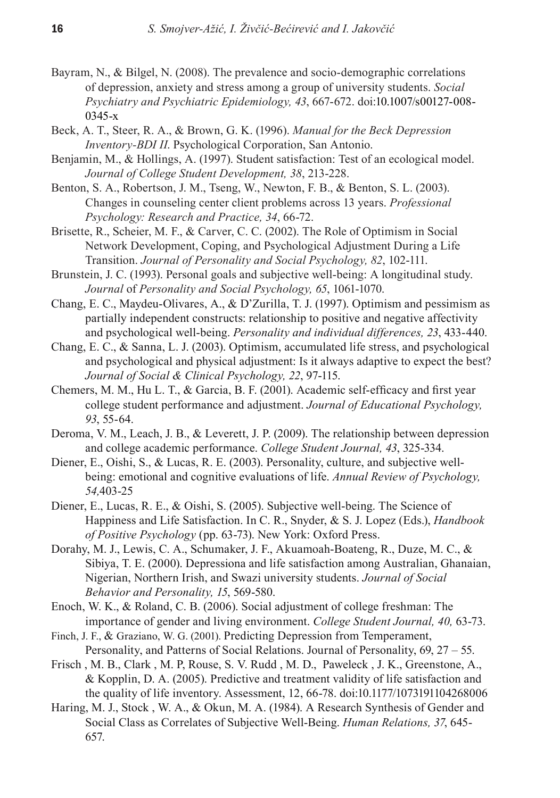- Bayram, N., & Bilgel, N. (2008). The prevalence and socio-demographic correlations of depression, anxiety and stress among a group of university students. *Social Psychiatry and Psychiatric Epidemiology, 43*, 667-672. doi:10.1007/s00127-008- 0345-x
- Beck, A. T., Steer, R. A., & Brown, G. K. (1996). *Manual for the Beck Depression Inventory-BDI II*. Psychological Corporation, San Antonio.
- Benjamin, M., & Hollings, A. (1997). Student satisfaction: Test of an ecological model. *Journal of College Student Development, 38*, 213-228.
- Benton, S. A., Robertson, J. M., Tseng, W., Newton, F. B., & Benton, S. L. (2003). Changes in counseling center client problems across 13 years. *Professional Psychology: Research and Practice, 34*, 66-72.
- Brisette, R., Scheier, M. F., & Carver, C. C. (2002). The Role of Optimism in Social Network Development, Coping, and Psychological Adjustment During a Life Transition. *Journal of Personality and Social Psychology, 82*, 102-111.
- Brunstein, J. C. (1993). Personal goals and subjective well-being: A longitudinal study. *Journal* of *Personality and Social Psychology, 65*, 1061-1070.
- Chang, E. C., Maydeu-Olivares, A., & D'Zurilla, T. J. (1997). Optimism and pessimism as partially independent constructs: relationship to positive and negative affectivity and psychological well-being. *Personality and individual differences, 23*, 433-440.
- Chang, E. C., & Sanna, L. J. (2003). Optimism, accumulated life stress, and psychological and psychological and physical adjustment: Is it always adaptive to expect the best? *Journal of Social & Clinical Psychology, 22*, 97-115.
- Chemers, M. M., Hu L. T., & Garcia, B. F. (2001). Academic self-efficacy and first year college student performance and adjustment. *Journal of Educational Psychology, 93*, 55-64.
- Deroma, V. M., Leach, J. B., & Leverett, J. P. (2009). The relationship between depression and college academic performance. *College Student Journal, 43*, 325-334.
- Diener, E., Oishi, S., & Lucas, R. E. (2003). Personality, culture, and subjective wellbeing: emotional and cognitive evaluations of life. *Annual Review of Psychology, 54,*403-25
- Diener, E., Lucas, R. E., & Oishi, S. (2005). Subjective well-being. The Science of Happiness and Life Satisfaction. In C. R., Snyder, & S. J. Lopez (Eds.), *Handbook of Positive Psychology* (pp. 63-73). New York: Oxford Press.
- Dorahy, M. J., Lewis, C. A., Schumaker, J. F., Akuamoah-Boateng, R., Duze, M. C., & Sibiya, T. E. (2000). Depressiona and life satisfaction among Australian, Ghanaian, Nigerian, Northern Irish, and Swazi university students. *Journal of Social Behavior and Personality, 15*, 569-580.
- Enoch, W. K., & Roland, C. B. (2006). Social adjustment of college freshman: The importance of gender and living environment. *College Student Journal, 40,* 63-73.
- Finch, J. F., & Graziano, W. G. (2001). Predicting Depression from Temperament, Personality, and Patterns of Social Relations. Journal of Personality, 69, 27 – 55.
- Frisch , M. B., Clark , M. P, Rouse, S. V. Rudd , M. D., Paweleck , J. K., Greenstone, A., & Kopplin, D. A. (2005). Predictive and treatment validity of life satisfaction and the quality of life inventory. Assessment, 12, 66-78. doi:10.1177/1073191104268006
- Haring, M. J., Stock , W. A., & Okun, M. A. (1984). A Research Synthesis of Gender and Social Class as Correlates of Subjective Well-Being. *Human Relations, 37*, 645- 657.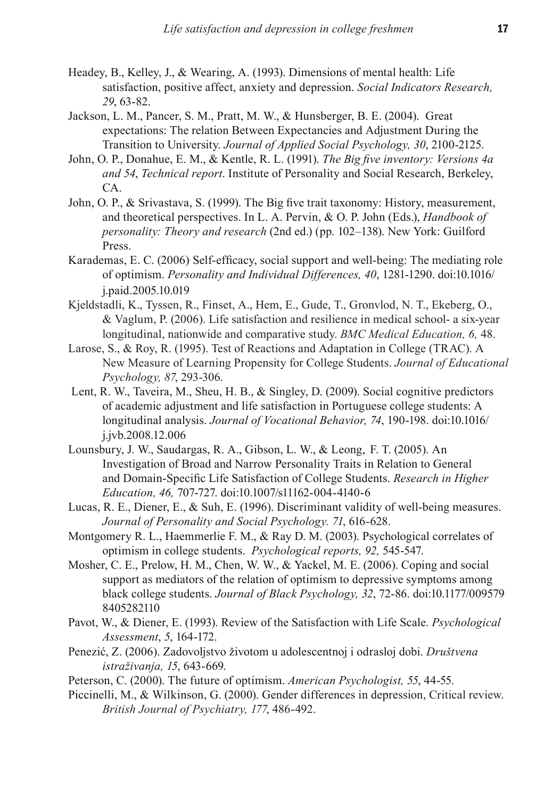- Headey, B., Kelley, J., & Wearing, A. (1993). Dimensions of mental health: Life satisfaction, positive affect, anxiety and depression. *Social Indicators Research, 29*, 63-82.
- Jackson, L. M., Pancer, S. M., Pratt, M. W., & Hunsberger, B. E. (2004). Great expectations: The relation Between Expectancies and Adjustment During the Transition to University. *Journal of Applied Social Psychology, 30*, 2100-2125.
- John, O. P., Donahue, E. M., & Kentle, R. L. (1991). *The Big five inventory: Versions 4a and 54*, *Technical report*. Institute of Personality and Social Research, Berkeley, CA.
- John, O. P., & Srivastava, S. (1999). The Big five trait taxonomy: History, measurement, and theoretical perspectives. In L. A. Pervin, & O. P. John (Eds.), *Handbook of personality: Theory and research* (2nd ed.) (pp. 102–138). New York: Guilford Press.
- Karademas, E. C. (2006). Self-efficacy, social support and well-being: The mediating role of optimism. *Personality and Individual Differences, 40*, 1281-1290. doi:10.1016/ j.paid.2005.10.019
- Kjeldstadli, K., Tyssen, R., Finset, A., Hem, E., Gude, T., Gronvlod, N. T., Ekeberg, O., & Vaglum, P. (2006). Life satisfaction and resilience in medical school- a six-year longitudinal, nationwide and comparative study. *BMC Medical Education, 6,* 48.
- Larose, S., & Roy, R. (1995). Test of Reactions and Adaptation in College (TRAC). A New Measure of Learning Propensity for College Students. *Journal of Educational Psychology, 87*, 293-306.
- Lent, R. W., Taveira, M., Sheu, H. B., & Singley, D. (2009). Social cognitive predictors of academic adjustment and life satisfaction in Portuguese college students: A longitudinal analysis. *Journal of Vocational Behavior, 74*, 190-198. doi:10.1016/ j.jvb.2008.12.006
- Lounsbury, J. W., Saudargas, R. A., Gibson, L. W., & Leong, F. T. (2005). An Investigation of Broad and Narrow Personality Traits in Relation to General and Domain-Specific Life Satisfaction of College Students. *Research in Higher Education, 46,* 707-727. doi:10.1007/s11162-004-4140-6
- Lucas, R. E., Diener, E., & Suh, E. (1996). Discriminant validity of well-being measures. *Journal of Personality and Social Psychology. 71*, 616-628.
- Montgomery R. L., Haemmerlie F. M., & Ray D. M. (2003). Psychological correlates of optimism in college students. *Psychological reports, 92,* 545-547.
- Mosher, C. E., Prelow, H. M., Chen, W. W., & Yackel, M. E. (2006). Coping and social support as mediators of the relation of optimism to depressive symptoms among black college students. *Journal of Black Psychology, 32*, 72-86. doi:10.1177/009579 8405282110
- Pavot, W., & Diener, E. (1993). Review of the Satisfaction with Life Scale. *Psychological Assessment*, *5*, 164-172.
- Penezić, Z. (2006). Zadovoljstvo životom u adolescentnoj i odrasloj dobi. *Društvena istraživanja, 15*, 643-669.
- Peterson, C. (2000). The future of optimism. *American Psychologist, 55*, 44-55.
- Piccinelli, M., & Wilkinson, G. (2000). Gender differences in depression, Critical review. *British Journal of Psychiatry, 177*, 486-492.